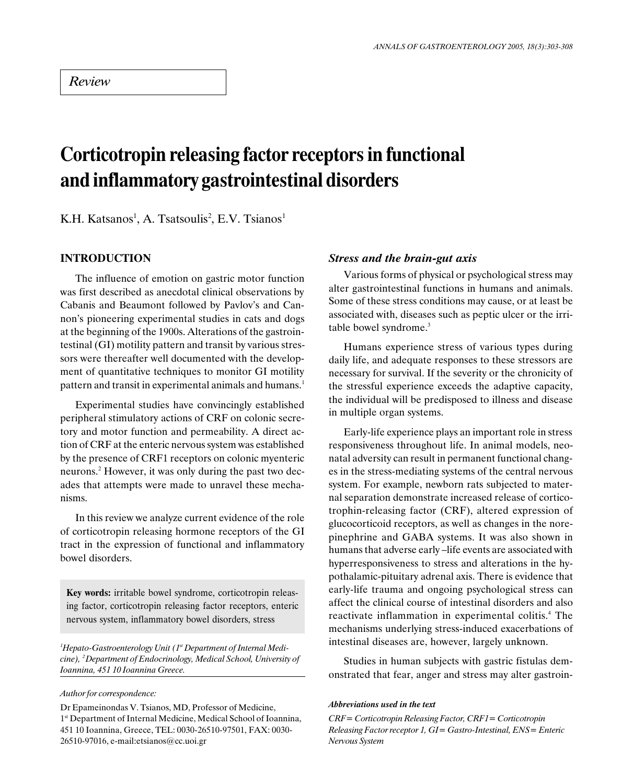# Corticotropin releasing factor receptors in functional and inflammatory gastrointestinal disorders

K.H. Katsanos<sup>1</sup>, A. Tsatsoulis<sup>2</sup>, E.V. Tsianos<sup>1</sup>

# INTRODUCTION

The influence of emotion on gastric motor function was first described as anecdotal clinical observations by Cabanis and Beaumont followed by Pavlov's and Cannon's pioneering experimental studies in cats and dogs at the beginning of the 1900s. Alterations of the gastrointestinal (GI) motility pattern and transit by various stressors were thereafter well documented with the development of quantitative techniques to monitor GI motility pattern and transit in experimental animals and humans.<sup>1</sup>

Experimental studies have convincingly established peripheral stimulatory actions of CRF on colonic secretory and motor function and permeability. A direct action of CRF at the enteric nervous system was established by the presence of CRF1 receptors on colonic myenteric neurons.2 However, it was only during the past two decades that attempts were made to unravel these mechanisms.

In this review we analyze current evidence of the role of corticotropin releasing hormone receptors of the GI tract in the expression of functional and inflammatory bowel disorders.

Key words: irritable bowel syndrome, corticotropin releasing factor, corticotropin releasing factor receptors, enteric nervous system, inflammatory bowel disorders, stress

 ${}^{1}$ Hepato-Gastroenterology Unit (1 ${}^{18}$  Department of Internal Medicine), 2 Department of Endocrinology, Medical School, University of Ioannina, 451 10 Ioannina Greece.

#### Author for correspondence:

Dr Epameinondas V. Tsianos, MD, Professor of Medicine, 1st Department of Internal Medicine, Medical School of Ioannina, 451 10 Ioannina, Greece, TEL: 0030-26510-97501, FAX: 0030- 26510-97016, e-mail:etsianos@cc.uoi.gr

#### Stress and the brain-gut axis

Various forms of physical or psychological stress may alter gastrointestinal functions in humans and animals. Some of these stress conditions may cause, or at least be associated with, diseases such as peptic ulcer or the irritable bowel syndrome.<sup>3</sup>

Humans experience stress of various types during daily life, and adequate responses to these stressors are necessary for survival. If the severity or the chronicity of the stressful experience exceeds the adaptive capacity, the individual will be predisposed to illness and disease in multiple organ systems.

Early-life experience plays an important role in stress responsiveness throughout life. In animal models, neonatal adversity can result in permanent functional changes in the stress-mediating systems of the central nervous system. For example, newborn rats subjected to maternal separation demonstrate increased release of corticotrophin-releasing factor (CRF), altered expression of glucocorticoid receptors, as well as changes in the norepinephrine and GABA systems. It was also shown in humans that adverse early-life events are associated with hyperresponsiveness to stress and alterations in the hypothalamic-pituitary adrenal axis. There is evidence that early-life trauma and ongoing psychological stress can affect the clinical course of intestinal disorders and also reactivate inflammation in experimental colitis.<sup>4</sup> The mechanisms underlying stress-induced exacerbations of intestinal diseases are, however, largely unknown.

Studies in human subjects with gastric fistulas demonstrated that fear, anger and stress may alter gastroin-

#### Abbreviations used in the text

CRF= Corticotropin Releasing Factor, CRF1= Corticotropin Releasing Factor receptor 1, GI= Gastro-Intestinal, ENS= Enteric Nervous System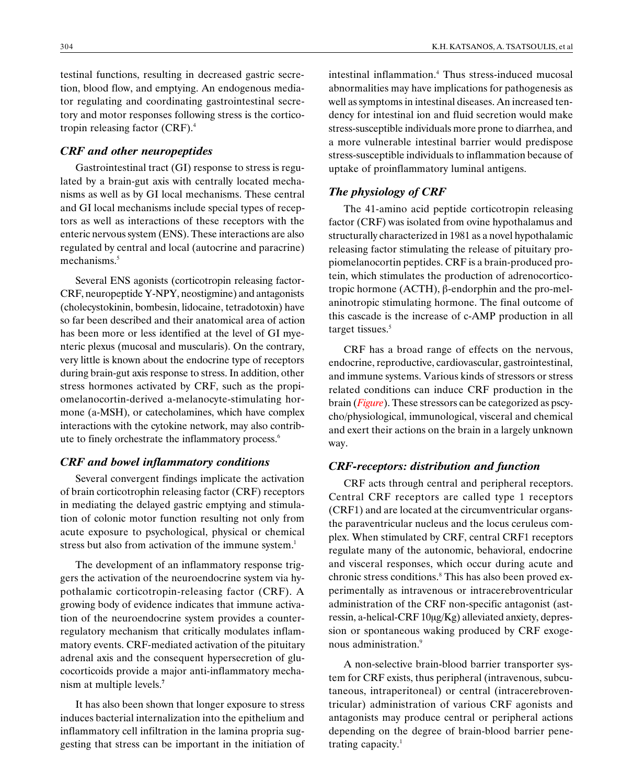testinal functions, resulting in decreased gastric secretion, blood flow, and emptying. An endogenous mediator regulating and coordinating gastrointestinal secretory and motor responses following stress is the corticotropin releasing factor (CRF).4

#### CRF and other neuropeptides

Gastrointestinal tract (GI) response to stress is regulated by a brain-gut axis with centrally located mechanisms as well as by GI local mechanisms. These central and GI local mechanisms include special types of receptors as well as interactions of these receptors with the enteric nervous system (ENS). These interactions are also regulated by central and local (autocrine and paracrine) mechanisms.<sup>5</sup>

Several ENS agonists (corticotropin releasing factor-CRF, neuropeptide Y-NPY, neostigmine) and antagonists (cholecystokinin, bombesin, lidocaine, tetradotoxin) have so far been described and their anatomical area of action has been more or less identified at the level of GI myenteric plexus (mucosal and muscularis). On the contrary, very little is known about the endocrine type of receptors during brain-gut axis response to stress. In addition, other stress hormones activated by CRF, such as the propiomelanocortin-derived a-melanocyte-stimulating hormone (a-MSH), or catecholamines, which have complex interactions with the cytokine network, may also contribute to finely orchestrate the inflammatory process.<sup>6</sup>

## CRF and bowel inflammatory conditions

Several convergent findings implicate the activation of brain corticotrophin releasing factor (CRF) receptors in mediating the delayed gastric emptying and stimulation of colonic motor function resulting not only from acute exposure to psychological, physical or chemical stress but also from activation of the immune system.<sup>1</sup>

The development of an inflammatory response triggers the activation of the neuroendocrine system via hypothalamic corticotropin-releasing factor (CRF). A growing body of evidence indicates that immune activation of the neuroendocrine system provides a counterregulatory mechanism that critically modulates inflammatory events. CRF-mediated activation of the pituitary adrenal axis and the consequent hypersecretion of glucocorticoids provide a major anti-inflammatory mechanism at multiple levels.<sup>7</sup>

It has also been shown that longer exposure to stress induces bacterial internalization into the epithelium and inflammatory cell infiltration in the lamina propria suggesting that stress can be important in the initiation of

intestinal inflammation.4 Thus stress-induced mucosal abnormalities may have implications for pathogenesis as well as symptoms in intestinal diseases. An increased tendency for intestinal ion and fluid secretion would make stress-susceptible individuals more prone to diarrhea, and a more vulnerable intestinal barrier would predispose stress-susceptible individuals to inflammation because of uptake of proinflammatory luminal antigens.

#### The physiology of CRF

The 41-amino acid peptide corticotropin releasing factor (CRF) was isolated from ovine hypothalamus and structurally characterized in 1981 as a novel hypothalamic releasing factor stimulating the release of pituitary propiomelanocortin peptides. CRF is a brain-produced protein, which stimulates the production of adrenocorticotropic hormone (ACTH), â-endorphin and the pro-melaninotropic stimulating hormone. The final outcome of this cascade is the increase of c-AMP production in all target tissues.<sup>5</sup>

CRF has a broad range of effects on the nervous, endocrine, reproductive, cardiovascular, gastrointestinal, and immune systems. Various kinds of stressors or stress related conditions can induce CRF production in the brain (Figure). These stressors can be categorized as pscycho/physiological, immunological, visceral and chemical and exert their actions on the brain in a largely unknown way.

### CRF-receptors: distribution and function

CRF acts through central and peripheral receptors. Central CRF receptors are called type 1 receptors (CRF1) and are located at the circumventricular organsthe paraventricular nucleus and the locus ceruleus complex. When stimulated by CRF, central CRF1 receptors regulate many of the autonomic, behavioral, endocrine and visceral responses, which occur during acute and chronic stress conditions.<sup>8</sup> This has also been proved experimentally as intravenous or intracerebroventricular administration of the CRF non-specific antagonist (astressin, a-helical-CRF  $10\mu$ g/Kg) alleviated anxiety, depression or spontaneous waking produced by CRF exogenous administration.<sup>9</sup>

A non-selective brain-blood barrier transporter system for CRF exists, thus peripheral (intravenous, subcutaneous, intraperitoneal) or central (intracerebroventricular) administration of various CRF agonists and antagonists may produce central or peripheral actions depending on the degree of brain-blood barrier penetrating capacity. $1$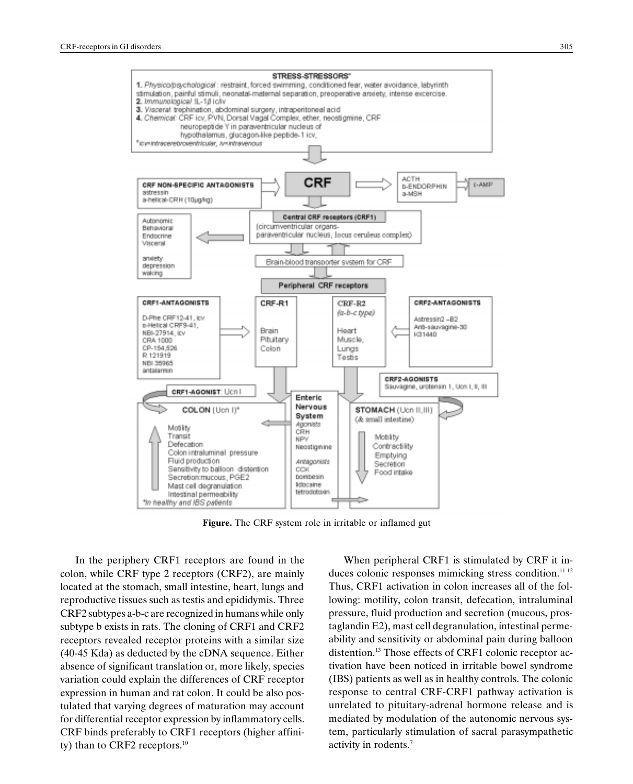

Figure. The CRF system role in irritable or inflamed gut

In the periphery CRF1 receptors are found in the colon, while CRF type 2 receptors (CRF2), are mainly located at the stomach, small intestine, heart, lungs and reproductive tissues such as testis and epididymis. Three CRF2 subtypes a-b-c are recognized in humans while only subtype b exists in rats. The cloning of CRF1 and CRF2 receptors revealed receptor proteins with a similar size (40-45 Kda) as deducted by the cDNA sequence. Either absence of significant translation or, more likely, species variation could explain the differences of CRF receptor expression in human and rat colon. It could be also postulated that varying degrees of maturation may account for differential receptor expression by inflammatory cells. CRF binds preferably to CRF1 receptors (higher affinity) than to CRF2 receptors.<sup>10</sup>

When peripheral CRF1 is stimulated by CRF it induces colonic responses mimicking stress condition.<sup>11-12</sup> Thus, CRF1 activation in colon increases all of the following: motility, colon transit, defecation, intraluminal pressure, fluid production and secretion (mucous, prostaglandin E2), mast cell degranulation, intestinal permeability and sensitivity or abdominal pain during balloon distention.<sup>13</sup> Those effects of CRF1 colonic receptor activation have been noticed in irritable bowel syndrome (IBS) patients as well as in healthy controls. The colonic response to central CRF-CRF1 pathway activation is unrelated to pituitary-adrenal hormone release and is mediated by modulation of the autonomic nervous system, particularly stimulation of sacral parasympathetic activity in rodents.<sup>7</sup>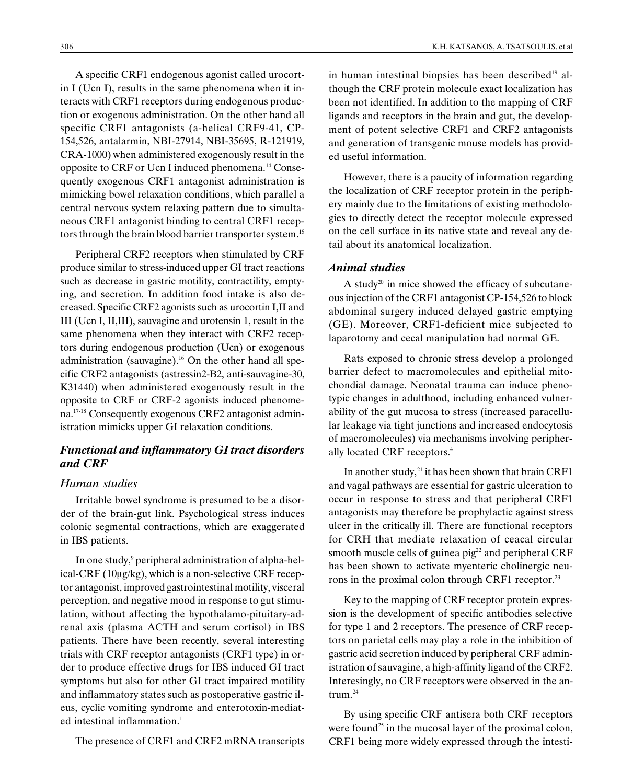A specific CRF1 endogenous agonist called urocortin I (Ucn I), results in the same phenomena when it interacts with CRF1 receptors during endogenous production or exogenous administration. On the other hand all specific CRF1 antagonists (a-helical CRF9-41, CP-154,526, antalarmin, NBI-27914, NBI-35695, R-121919, CRA-1000) when administered exogenously result in the opposite to CRF or Ucn I induced phenomena.14 Consequently exogenous CRF1 antagonist administration is mimicking bowel relaxation conditions, which parallel a central nervous system relaxing pattern due to simultaneous CRF1 antagonist binding to central CRF1 receptors through the brain blood barrier transporter system.<sup>15</sup>

Peripheral CRF2 receptors when stimulated by CRF produce similar to stress-induced upper GI tract reactions such as decrease in gastric motility, contractility, emptying, and secretion. In addition food intake is also decreased. Specific CRF2 agonists such as urocortin I,II and III (Ucn I, II,III), sauvagine and urotensin 1, result in the same phenomena when they interact with CRF2 receptors during endogenous production (Ucn) or exogenous administration (sauvagine).<sup>16</sup> On the other hand all specific CRF2 antagonists (astressin2-B2, anti-sauvagine-30, K31440) when administered exogenously result in the opposite to CRF or CRF-2 agonists induced phenomena.17-18 Consequently exogenous CRF2 antagonist administration mimicks upper GI relaxation conditions.

# Functional and inflammatory GI tract disorders and CRF

#### Human studies

Irritable bowel syndrome is presumed to be a disorder of the brain-gut link. Psychological stress induces colonic segmental contractions, which are exaggerated in IBS patients.

In one study,<sup>9</sup> peripheral administration of alpha-helical-CRF ( $10\mu$ g/kg), which is a non-selective CRF receptor antagonist, improved gastrointestinal motility, visceral perception, and negative mood in response to gut stimulation, without affecting the hypothalamo-pituitary-adrenal axis (plasma ACTH and serum cortisol) in IBS patients. There have been recently, several interesting trials with CRF receptor antagonists (CRF1 type) in order to produce effective drugs for IBS induced GI tract symptoms but also for other GI tract impaired motility and inflammatory states such as postoperative gastric ileus, cyclic vomiting syndrome and enterotoxin-mediated intestinal inflammation.<sup>1</sup>

The presence of CRF1 and CRF2 mRNA transcripts

in human intestinal biopsies has been described $19$  although the CRF protein molecule exact localization has been not identified. In addition to the mapping of CRF ligands and receptors in the brain and gut, the development of potent selective CRF1 and CRF2 antagonists and generation of transgenic mouse models has provided useful information.

However, there is a paucity of information regarding the localization of CRF receptor protein in the periphery mainly due to the limitations of existing methodologies to directly detect the receptor molecule expressed on the cell surface in its native state and reveal any detail about its anatomical localization.

## Animal studies

A study $^{20}$  in mice showed the efficacy of subcutaneous injection of the CRF1 antagonist CP-154,526 to block abdominal surgery induced delayed gastric emptying (GE). Moreover, CRF1-deficient mice subjected to laparotomy and cecal manipulation had normal GE.

Rats exposed to chronic stress develop a prolonged barrier defect to macromolecules and epithelial mitochondial damage. Neonatal trauma can induce phenotypic changes in adulthood, including enhanced vulnerability of the gut mucosa to stress (increased paracellular leakage via tight junctions and increased endocytosis of macromolecules) via mechanisms involving peripherally located CRF receptors.4

In another study,<sup>21</sup> it has been shown that brain CRF1 and vagal pathways are essential for gastric ulceration to occur in response to stress and that peripheral CRF1 antagonists may therefore be prophylactic against stress ulcer in the critically ill. There are functional receptors for CRH that mediate relaxation of ceacal circular smooth muscle cells of guinea  $\pi$  pig<sup>22</sup> and peripheral CRF has been shown to activate myenteric cholinergic neurons in the proximal colon through CRF1 receptor.<sup>23</sup>

Key to the mapping of CRF receptor protein expression is the development of specific antibodies selective for type 1 and 2 receptors. The presence of CRF receptors on parietal cells may play a role in the inhibition of gastric acid secretion induced by peripheral CRF administration of sauvagine, a high-affinity ligand of the CRF2. Interesingly, no CRF receptors were observed in the antrum. $^{24}$ 

By using specific CRF antisera both CRF receptors were found<sup>25</sup> in the mucosal layer of the proximal colon, CRF1 being more widely expressed through the intesti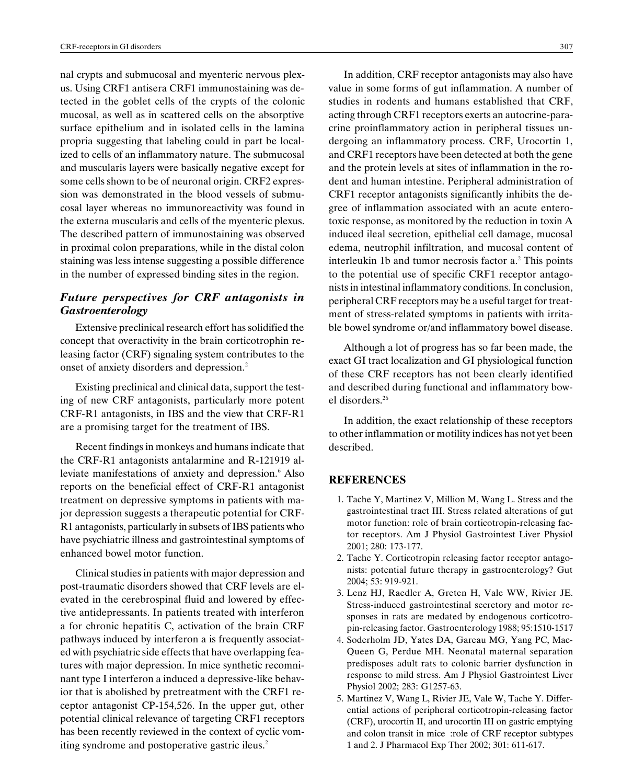nal crypts and submucosal and myenteric nervous plexus. Using CRF1 antisera CRF1 immunostaining was detected in the goblet cells of the crypts of the colonic mucosal, as well as in scattered cells on the absorptive surface epithelium and in isolated cells in the lamina propria suggesting that labeling could in part be localized to cells of an inflammatory nature. The submucosal and muscularis layers were basically negative except for some cells shown to be of neuronal origin. CRF2 expression was demonstrated in the blood vessels of submucosal layer whereas no immunoreactivity was found in the externa muscularis and cells of the myenteric plexus. The described pattern of immunostaining was observed in proximal colon preparations, while in the distal colon staining was less intense suggesting a possible difference in the number of expressed binding sites in the region.

## Future perspectives for CRF antagonists in Gastroenterology

Extensive preclinical research effort has solidified the concept that overactivity in the brain corticotrophin releasing factor (CRF) signaling system contributes to the onset of anxiety disorders and depression.<sup>2</sup>

Existing preclinical and clinical data, support the testing of new CRF antagonists, particularly more potent CRF-R1 antagonists, in IBS and the view that CRF-R1 are a promising target for the treatment of IBS.

Recent findings in monkeys and humans indicate that the CRF-R1 antagonists antalarmine and R-121919 alleviate manifestations of anxiety and depression.<sup>6</sup> Also reports on the beneficial effect of CRF-R1 antagonist treatment on depressive symptoms in patients with major depression suggests a therapeutic potential for CRF-R1 antagonists, particularly in subsets of IBS patients who have psychiatric illness and gastrointestinal symptoms of enhanced bowel motor function.

Clinical studies in patients with major depression and post-traumatic disorders showed that CRF levels are elevated in the cerebrospinal fluid and lowered by effective antidepressants. In patients treated with interferon a for chronic hepatitis C, activation of the brain CRF pathways induced by interferon a is frequently associated with psychiatric side effects that have overlapping features with major depression. In mice synthetic recomninant type I interferon a induced a depressive-like behavior that is abolished by pretreatment with the CRF1 receptor antagonist CP-154,526. In the upper gut, other potential clinical relevance of targeting CRF1 receptors has been recently reviewed in the context of cyclic vomiting syndrome and postoperative gastric ileus.<sup>2</sup>

In addition, CRF receptor antagonists may also have value in some forms of gut inflammation. A number of studies in rodents and humans established that CRF, acting through CRF1 receptors exerts an autocrine-paracrine proinflammatory action in peripheral tissues undergoing an inflammatory process. CRF, Urocortin 1, and CRF1 receptors have been detected at both the gene and the protein levels at sites of inflammation in the rodent and human intestine. Peripheral administration of CRF1 receptor antagonists significantly inhibits the degree of inflammation associated with an acute enterotoxic response, as monitored by the reduction in toxin A induced ileal secretion, epithelial cell damage, mucosal edema, neutrophil infiltration, and mucosal content of interleukin 1b and tumor necrosis factor a.<sup>2</sup> This points to the potential use of specific CRF1 receptor antagonists in intestinal inflammatory conditions. In conclusion, peripheral CRF receptors may be a useful target for treatment of stress-related symptoms in patients with irritable bowel syndrome or/and inflammatory bowel disease.

Although a lot of progress has so far been made, the exact GI tract localization and GI physiological function of these CRF receptors has not been clearly identified and described during functional and inflammatory bowel disorders.26

In addition, the exact relationship of these receptors to other inflammation or motility indices has not yet been described.

#### REFERENCES

- 1. Tache Y, Martinez V, Million M, Wang L. Stress and the gastrointestinal tract III. Stress related alterations of gut motor function: role of brain corticotropin-releasing factor receptors. Am J Physiol Gastrointest Liver Physiol 2001; 280: 173-177.
- 2. Tache Y. Corticotropin releasing factor receptor antagonists: potential future therapy in gastroenterology? Gut 2004; 53: 919-921.
- 3. Lenz HJ, Raedler A, Greten H, Vale WW, Rivier JE. Stress-induced gastrointestinal secretory and motor responses in rats are medated by endogenous corticotropin-releasing factor. Gastroenterology 1988; 95:1510-1517
- 4. Soderholm JD, Yates DA, Gareau MG, Yang PC, Mac-Queen G, Perdue MH. Neonatal maternal separation predisposes adult rats to colonic barrier dysfunction in response to mild stress. Am J Physiol Gastrointest Liver Physiol 2002; 283: G1257-63.
- 5. Martinez V, Wang L, Rivier JE, Vale W, Tache Y. Differential actions of peripheral corticotropin-releasing factor (CRF), urocortin II, and urocortin III on gastric emptying and colon transit in mice :role of CRF receptor subtypes 1 and 2. J Pharmacol Exp Ther 2002; 301: 611-617.